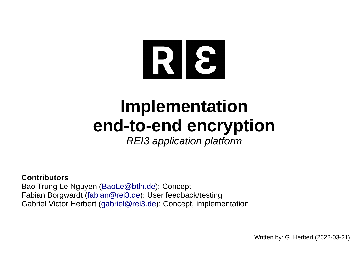

# **Implementation end-to-end encryption**

*REI3 application platform*

### **Contributors**

Bao Trung Le Nguyen ([BaoLe@btln.de](mailto:BaoLe@btln.de)): Concept Fabian Borgwardt ([fabian@rei3.de](mailto:fabian@rei3.de)): User feedback/testing Gabriel Victor Herbert ([gabriel@rei3.de\)](mailto:gabriel@rei3.de): Concept, implementation

Written by: G. Herbert (2022-03-21)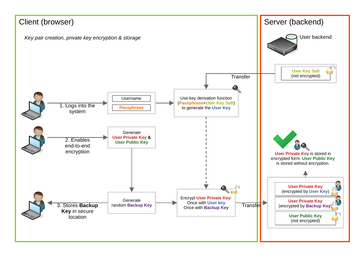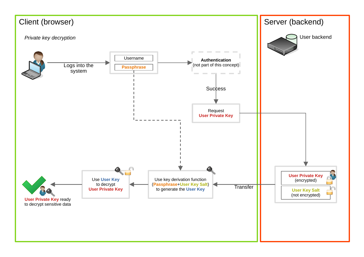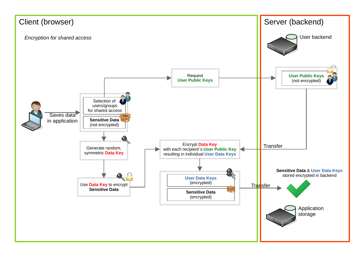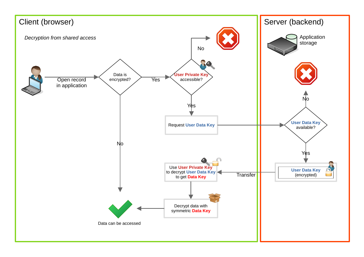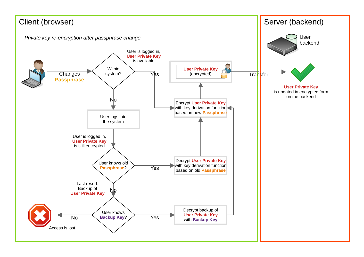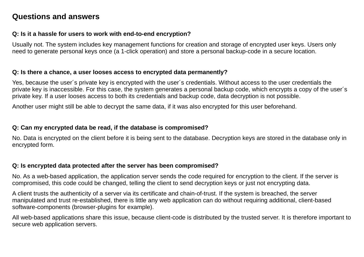## **Questions and answers**

#### **Q: Is it a hassle for users to work with end-to-end encryption?**

Usually not. The system includes key management functions for creation and storage of encrypted user keys. Users only need to generate personal keys once (a 1-click operation) and store a personal backup-code in a secure location.

#### **Q: Is there a chance, a user looses access to encrypted data permanently?**

Yes, because the user´s private key is encrypted with the user´s credentials. Without access to the user credentials the private key is inaccessible. For this case, the system generates a personal backup code, which encrypts a copy of the user´s private key. If a user looses access to both its credentials and backup code, data decryption is not possible.

Another user might still be able to decrypt the same data, if it was also encrypted for this user beforehand.

#### **Q: Can my encrypted data be read, if the database is compromised?**

No. Data is encrypted on the client before it is being sent to the database. Decryption keys are stored in the database only in encrypted form.

#### **Q: Is encrypted data protected after the server has been compromised?**

No. As a web-based application, the application server sends the code required for encryption to the client. If the server is compromised, this code could be changed, telling the client to send decryption keys or just not encrypting data.

A client trusts the authenticity of a server via its certificate and chain-of-trust. If the system is breached, the server manipulated and trust re-established, there is little any web application can do without requiring additional, client-based software-components (browser-plugins for example).

All web-based applications share this issue, because client-code is distributed by the trusted server. It is therefore important to secure web application servers.